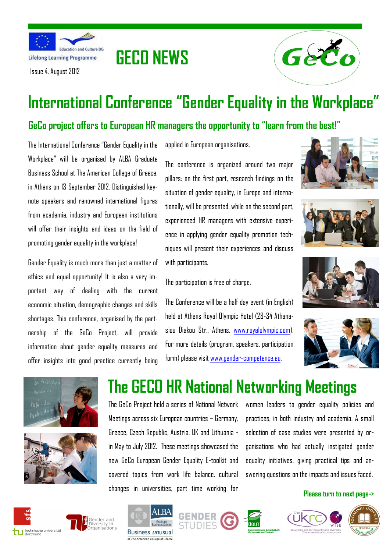

Issue 4, August 2012



# **International Conference "Gender Equality in the Workplace"**

### **GeCo project offers to European HR managers the opportunity to "learn from the best!"**

**GECO NEWS**

The International Conference "Gender Equality in the Workplace" will be organised by ALBA Graduate Business School at The American College of Greece, in Athens on 13 September 2012. Distinguished keynote speakers and renowned international figures from academia, industry and European institutions will offer their insights and ideas on the field of promoting gender equality in the workplace!

Gender Equality is much more than just a matter of ethics and equal opportunity! It is also a very important way of dealing with the current economic situation, demographic changes and skills shortages. This conference, organised by the partnership of the GeCo Project, will provide information about gender equality measures and offer insights into good practice currently being

applied in European organisations.

The conference is organized around two major pillars: on the first part, research findings on the situation of gender equality, in Europe and internationally, will be presented, while on the second part, experienced HR managers with extensive experience in applying gender equality promotion techniques will present their experiences and discuss with participants.

The participation is free of charge.

The Conference will be a half day event (in English) held at Athens Royal Olympic Hotel (28-34 Athanasiou Diakou Str,, Athens, [www.royalolympic.com\)](http://www.royalolympic.com). For more details (program, speakers, participation form) please visit www.gender-competence.eu.













## **The GECO HR National Networking Meetings**

The GeCo Project held a series of National Network Meetings across six European countries – Germany, Greece, Czech Republic, Austria, UK and Lithuania in May to July 2012. These meetings showcased the new GeCo European Gender Equality E-toolkit and covered topics from work life balance, cultural changes in universities, part time working for

women leaders to gender equality policies and practices, in both industry and academia. A small selection of case studies were presented by organisations who had actually instigated gender equality initiatives, giving practical tips and answering questions on the impacts and issues faced.

### **Please turn to next page->**



## Gender and Diversity in<br>Organisations